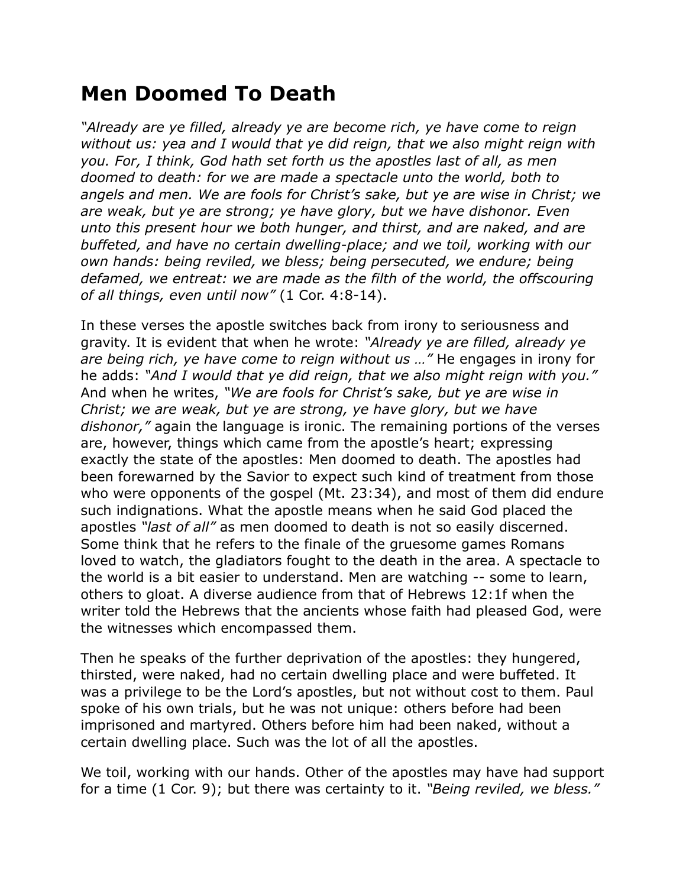## **Men Doomed To Death**

*"Already are ye filled, already ye are become rich, ye have come to reign without us: yea and I would that ye did reign, that we also might reign with you. For, I think, God hath set forth us the apostles last of all, as men doomed to death: for we are made a spectacle unto the world, both to angels and men. We are fools for Christ's sake, but ye are wise in Christ; we are weak, but ye are strong; ye have glory, but we have dishonor. Even unto this present hour we both hunger, and thirst, and are naked, and are buffeted, and have no certain dwelling-place; and we toil, working with our own hands: being reviled, we bless; being persecuted, we endure; being*  defamed, we entreat: we are made as the filth of the world, the offscouring *of all things, even until now"* (1 Cor. 4:8-14).

In these verses the apostle switches back from irony to seriousness and gravity. It is evident that when he wrote: *"Already ye are filled, already ye are being rich, ye have come to reign without us …"* He engages in irony for he adds: *"And I would that ye did reign, that we also might reign with you."* And when he writes, *"We are fools for Christ's sake, but ye are wise in Christ; we are weak, but ye are strong, ye have glory, but we have dishonor,"* again the language is ironic. The remaining portions of the verses are, however, things which came from the apostle's heart; expressing exactly the state of the apostles: Men doomed to death. The apostles had been forewarned by the Savior to expect such kind of treatment from those who were opponents of the gospel (Mt. 23:34), and most of them did endure such indignations. What the apostle means when he said God placed the apostles *"last of all"* as men doomed to death is not so easily discerned. Some think that he refers to the finale of the gruesome games Romans loved to watch, the gladiators fought to the death in the area. A spectacle to the world is a bit easier to understand. Men are watching -- some to learn, others to gloat. A diverse audience from that of Hebrews 12:1f when the writer told the Hebrews that the ancients whose faith had pleased God, were the witnesses which encompassed them.

Then he speaks of the further deprivation of the apostles: they hungered, thirsted, were naked, had no certain dwelling place and were buffeted. It was a privilege to be the Lord's apostles, but not without cost to them. Paul spoke of his own trials, but he was not unique: others before had been imprisoned and martyred. Others before him had been naked, without a certain dwelling place. Such was the lot of all the apostles.

We toil, working with our hands. Other of the apostles may have had support for a time (1 Cor. 9); but there was certainty to it. *"Being reviled, we bless."*